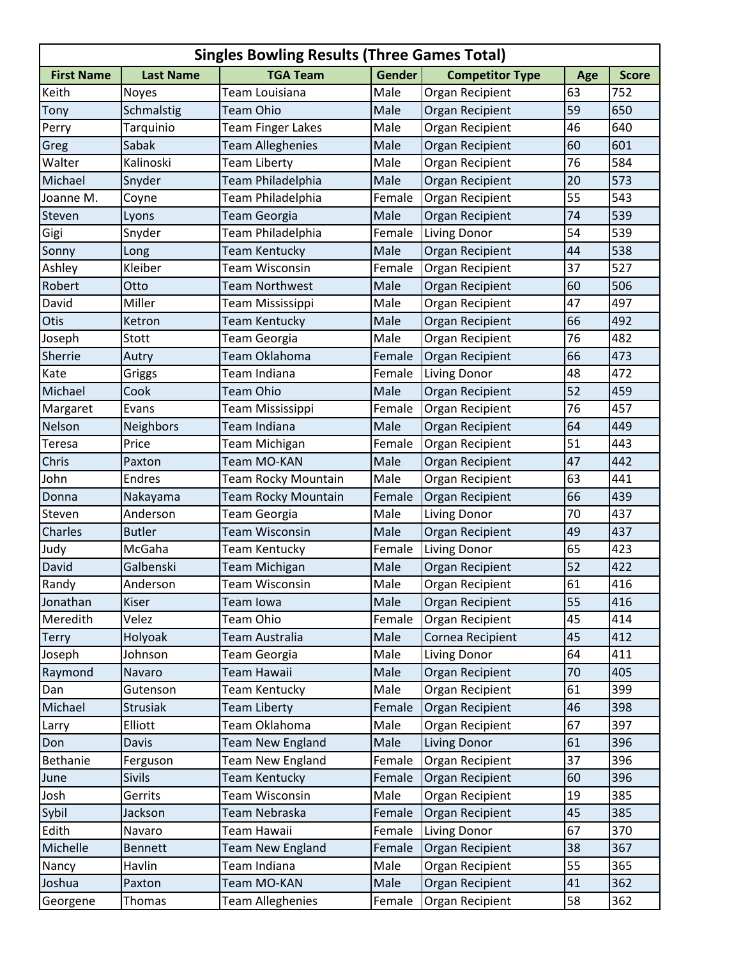| <b>Singles Bowling Results (Three Games Total)</b> |                  |                            |               |                        |     |              |  |
|----------------------------------------------------|------------------|----------------------------|---------------|------------------------|-----|--------------|--|
| <b>First Name</b>                                  | <b>Last Name</b> | <b>TGA Team</b>            | <b>Gender</b> | <b>Competitor Type</b> | Age | <b>Score</b> |  |
| Keith                                              | <b>Noyes</b>     | Team Louisiana             | Male          | Organ Recipient        | 63  | 752          |  |
| Tony                                               | Schmalstig       | <b>Team Ohio</b>           | Male          | <b>Organ Recipient</b> | 59  | 650          |  |
| Perry                                              | Tarquinio        | <b>Team Finger Lakes</b>   | Male          | Organ Recipient        | 46  | 640          |  |
| Greg                                               | Sabak            | <b>Team Alleghenies</b>    | Male          | Organ Recipient        | 60  | 601          |  |
| Walter                                             | Kalinoski        | <b>Team Liberty</b>        | Male          | Organ Recipient        | 76  | 584          |  |
| Michael                                            | Snyder           | Team Philadelphia          | Male          | Organ Recipient        | 20  | 573          |  |
| Joanne M.                                          | Coyne            | Team Philadelphia          | Female        | Organ Recipient        | 55  | 543          |  |
| Steven                                             | Lyons            | Team Georgia               | Male          | Organ Recipient        | 74  | 539          |  |
| Gigi                                               | Snyder           | Team Philadelphia          | Female        | <b>Living Donor</b>    | 54  | 539          |  |
| Sonny                                              | Long             | <b>Team Kentucky</b>       | Male          | Organ Recipient        | 44  | 538          |  |
| Ashley                                             | Kleiber          | Team Wisconsin             | Female        | Organ Recipient        | 37  | 527          |  |
| Robert                                             | Otto             | <b>Team Northwest</b>      | Male          | Organ Recipient        | 60  | 506          |  |
| David                                              | Miller           | Team Mississippi           | Male          | Organ Recipient        | 47  | 497          |  |
| Otis                                               | Ketron           | Team Kentucky              | Male          | Organ Recipient        | 66  | 492          |  |
| Joseph                                             | Stott            | Team Georgia               | Male          | Organ Recipient        | 76  | 482          |  |
| Sherrie                                            | Autry            | Team Oklahoma              | Female        | Organ Recipient        | 66  | 473          |  |
| Kate                                               | Griggs           | Team Indiana               | Female        | Living Donor           | 48  | 472          |  |
| Michael                                            | Cook             | <b>Team Ohio</b>           | Male          | Organ Recipient        | 52  | 459          |  |
| Margaret                                           | Evans            | Team Mississippi           | Female        | Organ Recipient        | 76  | 457          |  |
| Nelson                                             | <b>Neighbors</b> | Team Indiana               | Male          | Organ Recipient        | 64  | 449          |  |
| Teresa                                             | Price            | Team Michigan              | Female        | Organ Recipient        | 51  | 443          |  |
| Chris                                              | Paxton           | Team MO-KAN                | Male          | Organ Recipient        | 47  | 442          |  |
| John                                               | <b>Endres</b>    | Team Rocky Mountain        | Male          | Organ Recipient        | 63  | 441          |  |
| Donna                                              | Nakayama         | <b>Team Rocky Mountain</b> | Female        | <b>Organ Recipient</b> | 66  | 439          |  |
| Steven                                             | Anderson         | Team Georgia               | Male          | Living Donor           | 70  | 437          |  |
| Charles                                            | <b>Butler</b>    | <b>Team Wisconsin</b>      | Male          | Organ Recipient        | 49  | 437          |  |
| Judy                                               | McGaha           | Team Kentucky              | Female        | <b>Living Donor</b>    | 65  | 423          |  |
| David                                              | Galbenski        | <b>Team Michigan</b>       | Male          | Organ Recipient        | 52  | 422          |  |
| Randy                                              | Anderson         | Team Wisconsin             | Male          | Organ Recipient        | 61  | 416          |  |
| Jonathan                                           | Kiser            | Team Iowa                  | Male          | Organ Recipient        | 55  | 416          |  |
| Meredith                                           | Velez            | Team Ohio                  | Female        | Organ Recipient        | 45  | 414          |  |
| <b>Terry</b>                                       | Holyoak          | Team Australia             | Male          | Cornea Recipient       | 45  | 412          |  |
| Joseph                                             | Johnson          | Team Georgia               | Male          | Living Donor           | 64  | 411          |  |
| Raymond                                            | Navaro           | Team Hawaii                | Male          | <b>Organ Recipient</b> | 70  | 405          |  |
| Dan                                                | Gutenson         | Team Kentucky              | Male          | Organ Recipient        | 61  | 399          |  |
| Michael                                            | <b>Strusiak</b>  | <b>Team Liberty</b>        | Female        | Organ Recipient        | 46  | 398          |  |
| Larry                                              | Elliott          | Team Oklahoma              | Male          | Organ Recipient        | 67  | 397          |  |
| Don                                                | Davis            | <b>Team New England</b>    | Male          | Living Donor           | 61  | 396          |  |
| Bethanie                                           | Ferguson         | Team New England           | Female        | Organ Recipient        | 37  | 396          |  |
| June                                               | <b>Sivils</b>    | <b>Team Kentucky</b>       | Female        | Organ Recipient        | 60  | 396          |  |
| Josh                                               | Gerrits          | Team Wisconsin             | Male          | Organ Recipient        | 19  | 385          |  |
| Sybil                                              | Jackson          | Team Nebraska              | Female        | Organ Recipient        | 45  | 385          |  |
| Edith                                              | Navaro           | Team Hawaii                | Female        | Living Donor           | 67  | 370          |  |
| Michelle                                           | <b>Bennett</b>   | <b>Team New England</b>    | Female        | Organ Recipient        | 38  | 367          |  |
| Nancy                                              | Havlin           | Team Indiana               | Male          | Organ Recipient        | 55  | 365          |  |
| Joshua                                             | Paxton           | Team MO-KAN                | Male          | Organ Recipient        | 41  | 362          |  |
| Georgene                                           | Thomas           | <b>Team Alleghenies</b>    | Female        | Organ Recipient        | 58  | 362          |  |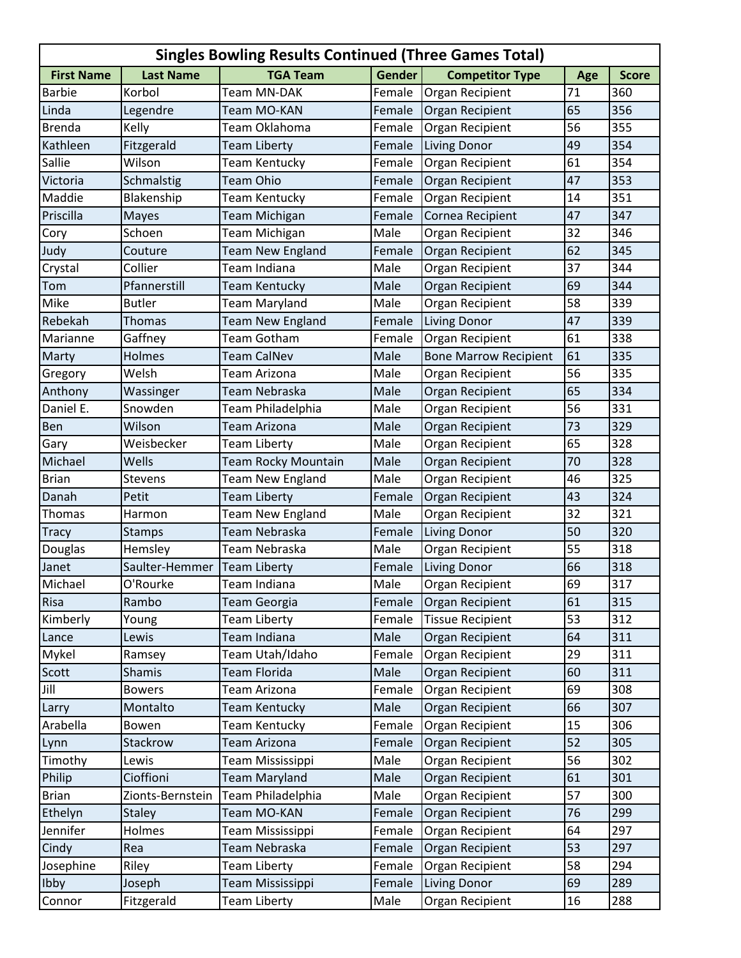| <b>Singles Bowling Results Continued (Three Games Total)</b> |                  |                            |               |                              |     |              |  |  |
|--------------------------------------------------------------|------------------|----------------------------|---------------|------------------------------|-----|--------------|--|--|
| <b>First Name</b>                                            | <b>Last Name</b> | <b>TGA Team</b>            | <b>Gender</b> | <b>Competitor Type</b>       | Age | <b>Score</b> |  |  |
| <b>Barbie</b>                                                | Korbol           | Team MN-DAK                | Female        | Organ Recipient              | 71  | 360          |  |  |
| Linda                                                        | Legendre         | Team MO-KAN                | Female        | Organ Recipient              | 65  | 356          |  |  |
| <b>Brenda</b>                                                | Kelly            | Team Oklahoma              | Female        | Organ Recipient              | 56  | 355          |  |  |
| Kathleen                                                     | Fitzgerald       | <b>Team Liberty</b>        | Female        | <b>Living Donor</b>          | 49  | 354          |  |  |
| Sallie                                                       | Wilson           | Team Kentucky              | Female        | Organ Recipient              | 61  | 354          |  |  |
| Victoria                                                     | Schmalstig       | <b>Team Ohio</b>           | Female        | Organ Recipient              | 47  | 353          |  |  |
| Maddie                                                       | Blakenship       | Team Kentucky              | Female        | Organ Recipient              | 14  | 351          |  |  |
| Priscilla                                                    | <b>Mayes</b>     | <b>Team Michigan</b>       | Female        | Cornea Recipient             | 47  | 347          |  |  |
| Cory                                                         | Schoen           | Team Michigan              | Male          | Organ Recipient              | 32  | 346          |  |  |
| Judy                                                         | Couture          | <b>Team New England</b>    | Female        | Organ Recipient              | 62  | 345          |  |  |
| Crystal                                                      | Collier          | Team Indiana               | Male          | Organ Recipient              | 37  | 344          |  |  |
| Tom                                                          | Pfannerstill     | <b>Team Kentucky</b>       | Male          | Organ Recipient              | 69  | 344          |  |  |
| Mike                                                         | <b>Butler</b>    | <b>Team Maryland</b>       | Male          | Organ Recipient              | 58  | 339          |  |  |
| Rebekah                                                      | Thomas           | <b>Team New England</b>    | Female        | <b>Living Donor</b>          | 47  | 339          |  |  |
| Marianne                                                     | Gaffney          | Team Gotham                | Female        | Organ Recipient              | 61  | 338          |  |  |
| Marty                                                        | Holmes           | <b>Team CalNev</b>         | Male          | <b>Bone Marrow Recipient</b> | 61  | 335          |  |  |
| Gregory                                                      | Welsh            | Team Arizona               | Male          | Organ Recipient              | 56  | 335          |  |  |
| Anthony                                                      | Wassinger        | Team Nebraska              | Male          | Organ Recipient              | 65  | 334          |  |  |
| Daniel E.                                                    | Snowden          | Team Philadelphia          | Male          | Organ Recipient              | 56  | 331          |  |  |
| Ben                                                          | Wilson           | <b>Team Arizona</b>        | Male          | Organ Recipient              | 73  | 329          |  |  |
| Gary                                                         | Weisbecker       | Team Liberty               | Male          | Organ Recipient              | 65  | 328          |  |  |
| Michael                                                      | Wells            | <b>Team Rocky Mountain</b> | Male          | Organ Recipient              | 70  | 328          |  |  |
| <b>Brian</b>                                                 | <b>Stevens</b>   | Team New England           | Male          | Organ Recipient              | 46  | 325          |  |  |
| Danah                                                        | Petit            | <b>Team Liberty</b>        | Female        | Organ Recipient              | 43  | 324          |  |  |
| Thomas                                                       | Harmon           | <b>Team New England</b>    | Male          | Organ Recipient              | 32  | 321          |  |  |
| <b>Tracy</b>                                                 | <b>Stamps</b>    | Team Nebraska              | Female        | <b>Living Donor</b>          | 50  | 320          |  |  |
| Douglas                                                      | Hemsley          | Team Nebraska              | Male          | Organ Recipient              | 55  | 318          |  |  |
| Janet                                                        | Saulter-Hemmer   | Team Liberty               | Female        | <b>Living Donor</b>          | 66  | 318          |  |  |
| Michael                                                      | O'Rourke         | Team Indiana               | Male          | Organ Recipient              | 69  | 317          |  |  |
| Risa                                                         | Rambo            | <b>Team Georgia</b>        | Female        | Organ Recipient              | 61  | 315          |  |  |
| Kimberly                                                     | Young            | <b>Team Liberty</b>        | Female        | <b>Tissue Recipient</b>      | 53  | 312          |  |  |
| Lance                                                        | Lewis            | Team Indiana               | Male          | Organ Recipient              | 64  | 311          |  |  |
| Mykel                                                        | Ramsey           | Team Utah/Idaho            | Female        | Organ Recipient              | 29  | 311          |  |  |
| Scott                                                        | <b>Shamis</b>    | <b>Team Florida</b>        | Male          | <b>Organ Recipient</b>       | 60  | 311          |  |  |
| Jill                                                         | <b>Bowers</b>    | Team Arizona               | Female        | Organ Recipient              | 69  | 308          |  |  |
| Larry                                                        | Montalto         | Team Kentucky              | Male          | Organ Recipient              | 66  | 307          |  |  |
| Arabella                                                     | Bowen            | Team Kentucky              | Female        | Organ Recipient              | 15  | 306          |  |  |
| Lynn                                                         | Stackrow         | <b>Team Arizona</b>        | Female        | Organ Recipient              | 52  | 305          |  |  |
| Timothy                                                      | Lewis            | Team Mississippi           | Male          | Organ Recipient              | 56  | 302          |  |  |
| Philip                                                       | Cioffioni        | <b>Team Maryland</b>       | Male          | Organ Recipient              | 61  | 301          |  |  |
| <b>Brian</b>                                                 | Zionts-Bernstein | Team Philadelphia          | Male          | Organ Recipient              | 57  | 300          |  |  |
| Ethelyn                                                      | <b>Staley</b>    | Team MO-KAN                | Female        | Organ Recipient              | 76  | 299          |  |  |
| Jennifer                                                     | Holmes           | Team Mississippi           | Female        | Organ Recipient              | 64  | 297          |  |  |
| Cindy                                                        | Rea              | Team Nebraska              | Female        | Organ Recipient              | 53  | 297          |  |  |
| Josephine                                                    | Riley            | <b>Team Liberty</b>        | Female        | Organ Recipient              | 58  | 294          |  |  |
| Ibby                                                         | Joseph           | Team Mississippi           | Female        | Living Donor                 | 69  | 289          |  |  |
| Connor                                                       | Fitzgerald       | <b>Team Liberty</b>        | Male          | Organ Recipient              | 16  | 288          |  |  |